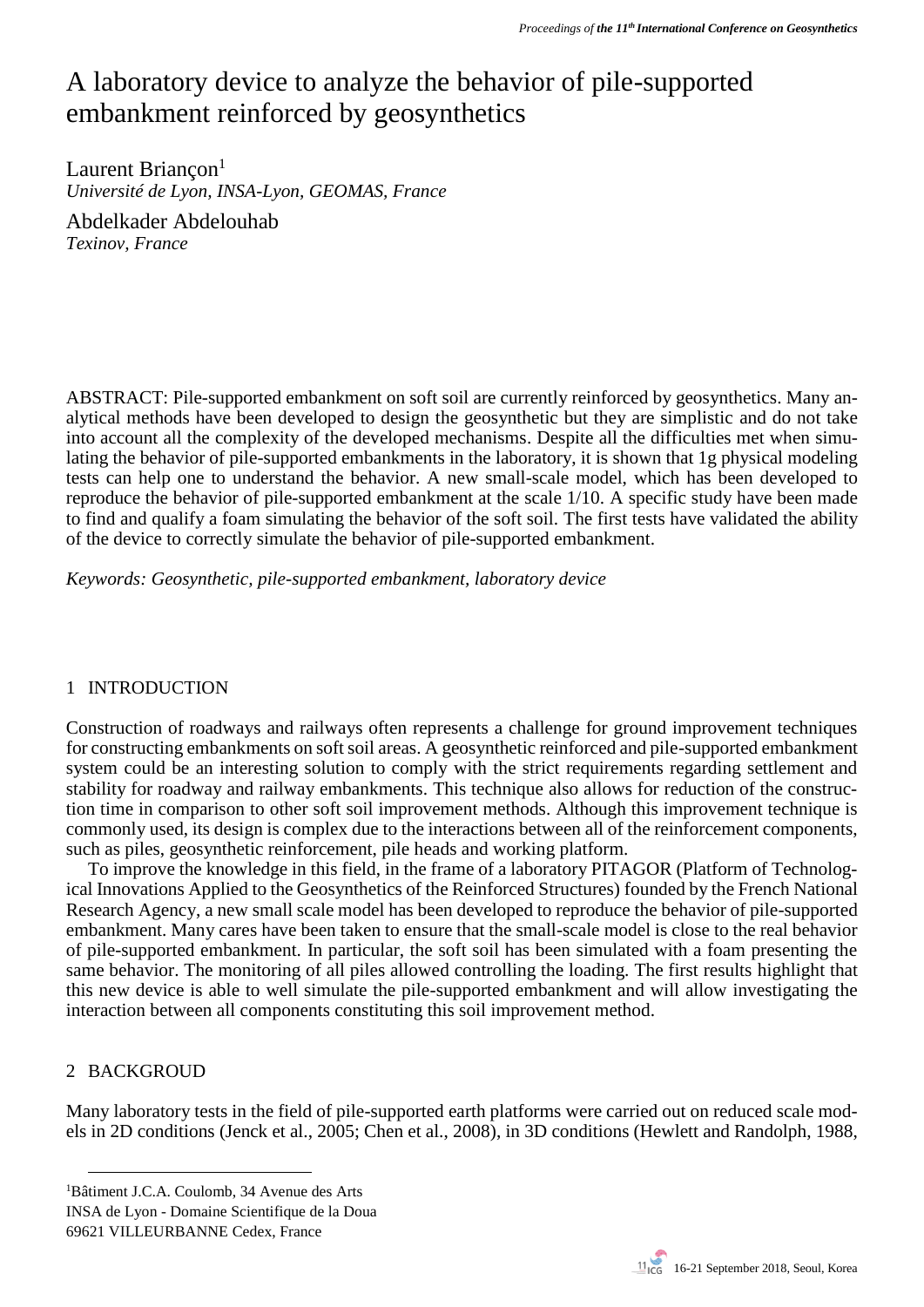# A laboratory device to analyze the behavior of pile-supported embankment reinforced by geosynthetics

Laurent Briancon<sup>1</sup> *Université de Lyon, INSA-Lyon, GEOMAS, France*

Abdelkader Abdelouhab *Texinov, France*

ABSTRACT: Pile-supported embankment on soft soil are currently reinforced by geosynthetics. Many analytical methods have been developed to design the geosynthetic but they are simplistic and do not take into account all the complexity of the developed mechanisms. Despite all the difficulties met when simulating the behavior of pile-supported embankments in the laboratory, it is shown that 1g physical modeling tests can help one to understand the behavior. A new small-scale model, which has been developed to reproduce the behavior of pile-supported embankment at the scale 1/10. A specific study have been made to find and qualify a foam simulating the behavior of the soft soil. The first tests have validated the ability of the device to correctly simulate the behavior of pile-supported embankment.

*Keywords: Geosynthetic, pile-supported embankment, laboratory device*

## 1 INTRODUCTION

Construction of roadways and railways often represents a challenge for ground improvement techniques for constructing embankments on soft soil areas. A geosynthetic reinforced and pile-supported embankment system could be an interesting solution to comply with the strict requirements regarding settlement and stability for roadway and railway embankments. This technique also allows for reduction of the construction time in comparison to other soft soil improvement methods. Although this improvement technique is commonly used, its design is complex due to the interactions between all of the reinforcement components, such as piles, geosynthetic reinforcement, pile heads and working platform.

To improve the knowledge in this field, in the frame of a laboratory PITAGOR (Platform of Technological Innovations Applied to the Geosynthetics of the Reinforced Structures) founded by the French National Research Agency, a new small scale model has been developed to reproduce the behavior of pile-supported embankment. Many cares have been taken to ensure that the small-scale model is close to the real behavior of pile-supported embankment. In particular, the soft soil has been simulated with a foam presenting the same behavior. The monitoring of all piles allowed controlling the loading. The first results highlight that this new device is able to well simulate the pile-supported embankment and will allow investigating the interaction between all components constituting this soil improvement method.

#### 2 BACKGROUD

 $\overline{a}$ 

Many laboratory tests in the field of pile-supported earth platforms were carried out on reduced scale models in 2D conditions (Jenck et al., 2005; Chen et al., 2008), in 3D conditions (Hewlett and Randolph, 1988,

69621 VILLEURBANNE Cedex, France

<sup>1</sup>Bâtiment J.C.A. Coulomb, 34 Avenue des Arts

INSA de Lyon - Domaine Scientifique de la Doua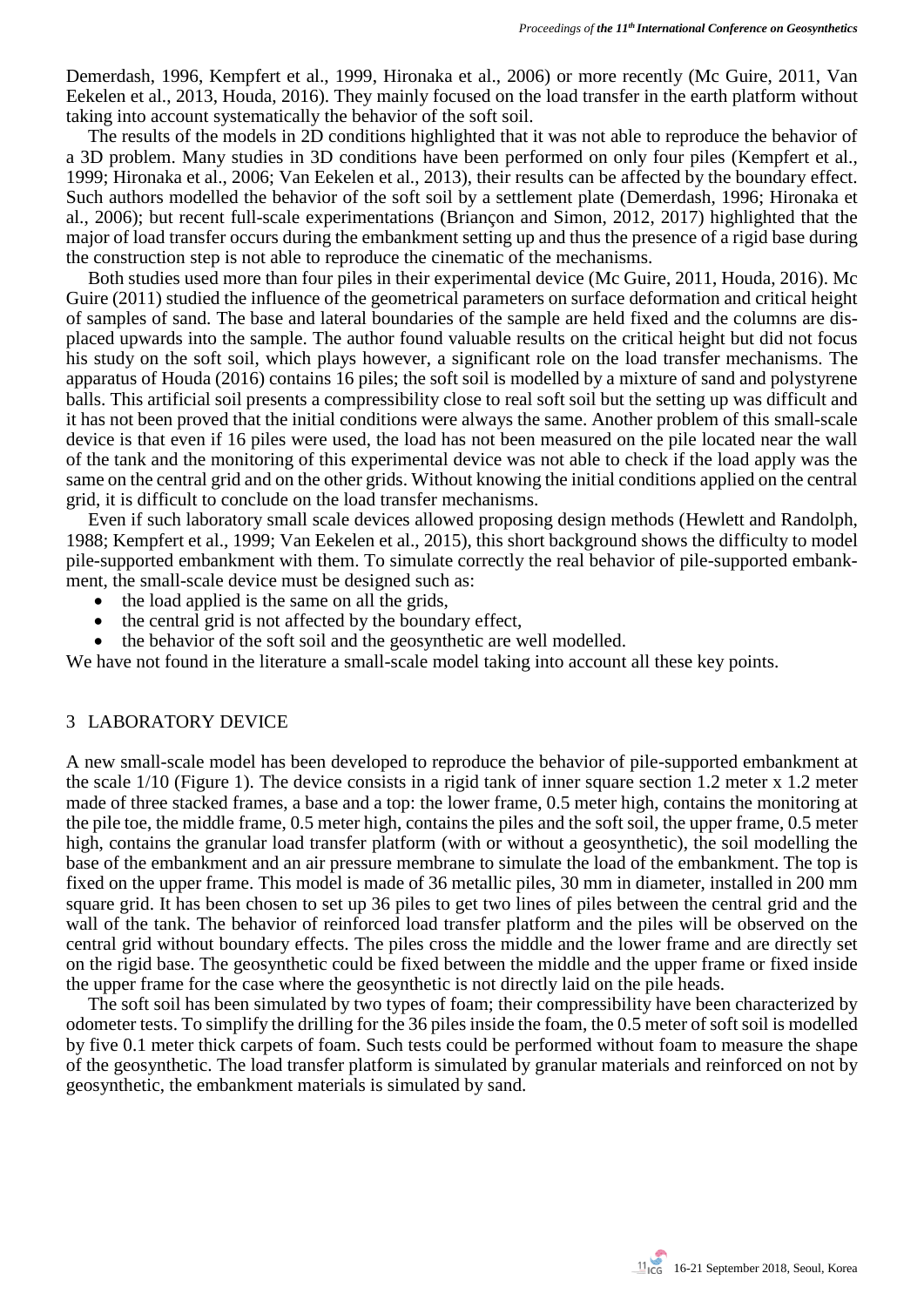Demerdash, 1996, Kempfert et al., 1999, Hironaka et al., 2006) or more recently (Mc Guire, 2011, Van Eekelen et al., 2013, Houda, 2016). They mainly focused on the load transfer in the earth platform without taking into account systematically the behavior of the soft soil.

The results of the models in 2D conditions highlighted that it was not able to reproduce the behavior of a 3D problem. Many studies in 3D conditions have been performed on only four piles (Kempfert et al., 1999; Hironaka et al., 2006; Van Eekelen et al., 2013), their results can be affected by the boundary effect. Such authors modelled the behavior of the soft soil by a settlement plate (Demerdash, 1996; Hironaka et al., 2006); but recent full-scale experimentations (Briançon and Simon, 2012, 2017) highlighted that the major of load transfer occurs during the embankment setting up and thus the presence of a rigid base during the construction step is not able to reproduce the cinematic of the mechanisms.

Both studies used more than four piles in their experimental device (Mc Guire, 2011, Houda, 2016). Mc Guire (2011) studied the influence of the geometrical parameters on surface deformation and critical height of samples of sand. The base and lateral boundaries of the sample are held fixed and the columns are displaced upwards into the sample. The author found valuable results on the critical height but did not focus his study on the soft soil, which plays however, a significant role on the load transfer mechanisms. The apparatus of Houda (2016) contains 16 piles; the soft soil is modelled by a mixture of sand and polystyrene balls. This artificial soil presents a compressibility close to real soft soil but the setting up was difficult and it has not been proved that the initial conditions were always the same. Another problem of this small-scale device is that even if 16 piles were used, the load has not been measured on the pile located near the wall of the tank and the monitoring of this experimental device was not able to check if the load apply was the same on the central grid and on the other grids. Without knowing the initial conditions applied on the central grid, it is difficult to conclude on the load transfer mechanisms.

Even if such laboratory small scale devices allowed proposing design methods (Hewlett and Randolph, 1988; Kempfert et al., 1999; Van Eekelen et al., 2015), this short background shows the difficulty to model pile-supported embankment with them. To simulate correctly the real behavior of pile-supported embankment, the small-scale device must be designed such as:

- the load applied is the same on all the grids,
- the central grid is not affected by the boundary effect,
- the behavior of the soft soil and the geosynthetic are well modelled.

We have not found in the literature a small-scale model taking into account all these key points.

#### 3 LABORATORY DEVICE

A new small-scale model has been developed to reproduce the behavior of pile-supported embankment at the scale 1/10 (Figure 1). The device consists in a rigid tank of inner square section 1.2 meter x 1.2 meter made of three stacked frames, a base and a top: the lower frame, 0.5 meter high, contains the monitoring at the pile toe, the middle frame, 0.5 meter high, contains the piles and the soft soil, the upper frame, 0.5 meter high, contains the granular load transfer platform (with or without a geosynthetic), the soil modelling the base of the embankment and an air pressure membrane to simulate the load of the embankment. The top is fixed on the upper frame. This model is made of 36 metallic piles, 30 mm in diameter, installed in 200 mm square grid. It has been chosen to set up 36 piles to get two lines of piles between the central grid and the wall of the tank. The behavior of reinforced load transfer platform and the piles will be observed on the central grid without boundary effects. The piles cross the middle and the lower frame and are directly set on the rigid base. The geosynthetic could be fixed between the middle and the upper frame or fixed inside the upper frame for the case where the geosynthetic is not directly laid on the pile heads.

The soft soil has been simulated by two types of foam; their compressibility have been characterized by odometer tests. To simplify the drilling for the 36 piles inside the foam, the 0.5 meter of soft soil is modelled by five 0.1 meter thick carpets of foam. Such tests could be performed without foam to measure the shape of the geosynthetic. The load transfer platform is simulated by granular materials and reinforced on not by geosynthetic, the embankment materials is simulated by sand.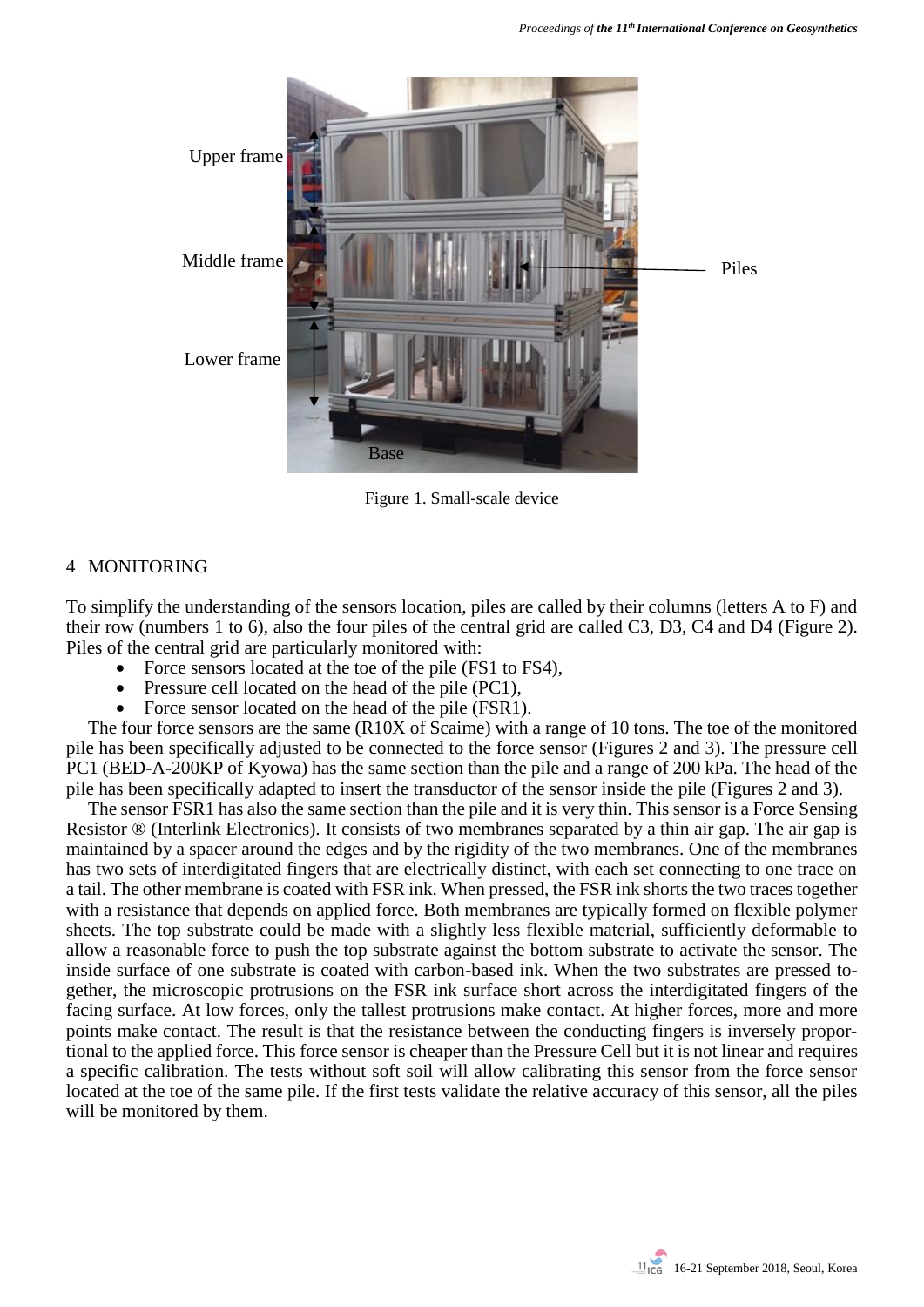

Figure 1. Small-scale device

# 4 MONITORING

To simplify the understanding of the sensors location, piles are called by their columns (letters A to F) and their row (numbers 1 to 6), also the four piles of the central grid are called C3, D3, C4 and D4 (Figure 2). Piles of the central grid are particularly monitored with:

- Force sensors located at the toe of the pile (FS1 to FS4),
- Pressure cell located on the head of the pile (PC1),
- Force sensor located on the head of the pile (FSR1).

The four force sensors are the same (R10X of Scaime) with a range of 10 tons. The toe of the monitored pile has been specifically adjusted to be connected to the force sensor (Figures 2 and 3). The pressure cell PC1 (BED-A-200KP of Kyowa) has the same section than the pile and a range of 200 kPa. The head of the pile has been specifically adapted to insert the transductor of the sensor inside the pile (Figures 2 and 3).

The sensor FSR1 has also the same section than the pile and it is very thin. This sensor is a Force Sensing Resistor ® (Interlink Electronics). It consists of two membranes separated by a thin air gap. The air gap is maintained by a spacer around the edges and by the rigidity of the two membranes. One of the membranes has two sets of interdigitated fingers that are electrically distinct, with each set connecting to one trace on a tail. The other membrane is coated with FSR ink. When pressed, the FSR ink shorts the two traces together with a resistance that depends on applied force. Both membranes are typically formed on flexible polymer sheets. The top substrate could be made with a slightly less flexible material, sufficiently deformable to allow a reasonable force to push the top substrate against the bottom substrate to activate the sensor. The inside surface of one substrate is coated with carbon-based ink. When the two substrates are pressed together, the microscopic protrusions on the FSR ink surface short across the interdigitated fingers of the facing surface. At low forces, only the tallest protrusions make contact. At higher forces, more and more points make contact. The result is that the resistance between the conducting fingers is inversely proportional to the applied force. This force sensor is cheaper than the Pressure Cell but it is not linear and requires a specific calibration. The tests without soft soil will allow calibrating this sensor from the force sensor located at the toe of the same pile. If the first tests validate the relative accuracy of this sensor, all the piles will be monitored by them.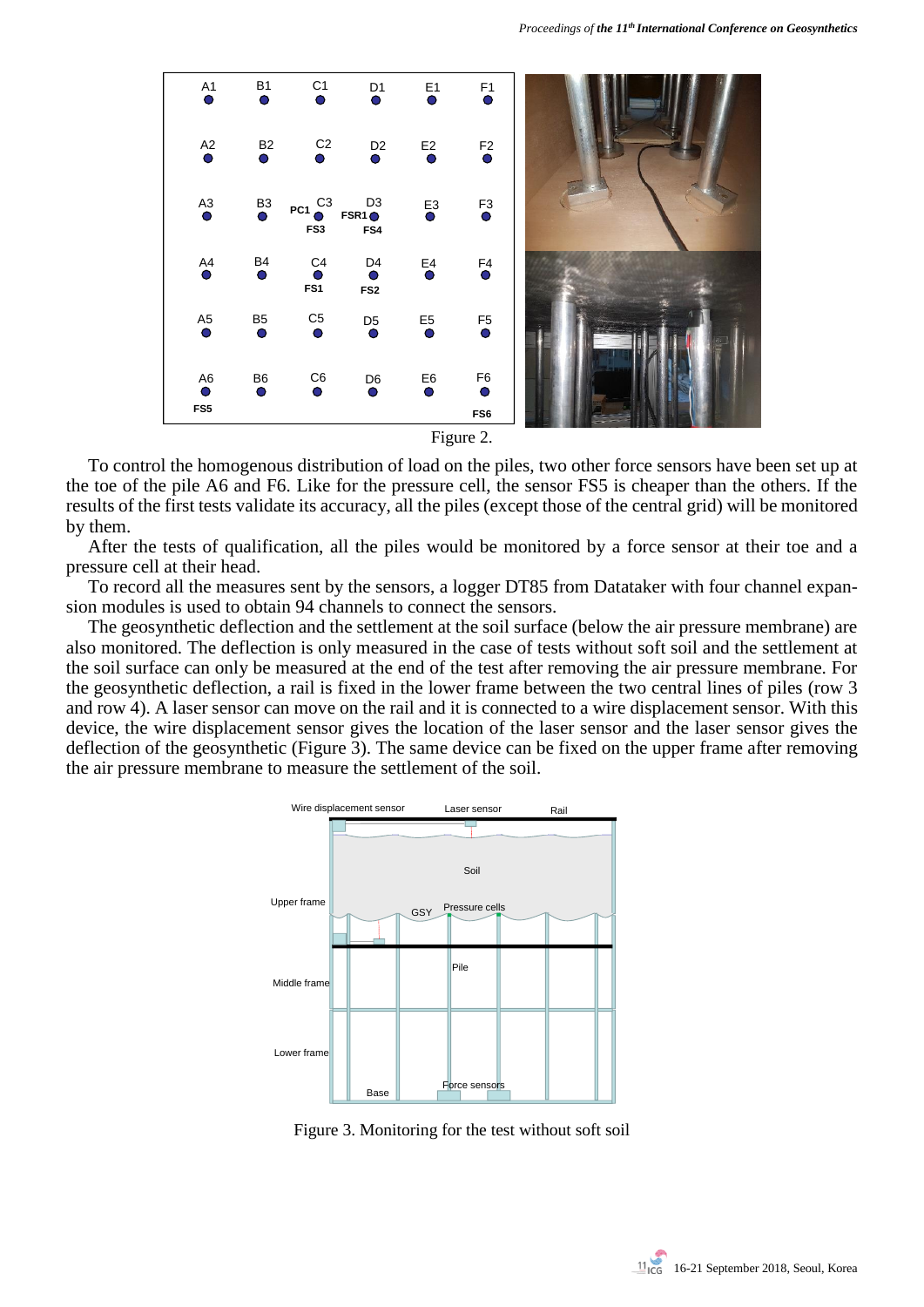

Figure 2.

To control the homogenous distribution of load on the piles, two other force sensors have been set up at the toe of the pile A6 and F6. Like for the pressure cell, the sensor FS5 is cheaper than the others. If the results of the first tests validate its accuracy, all the piles (except those of the central grid) will be monitored by them.

After the tests of qualification, all the piles would be monitored by a force sensor at their toe and a pressure cell at their head.

To record all the measures sent by the sensors, a logger DT85 from Datataker with four channel expansion modules is used to obtain 94 channels to connect the sensors.

The geosynthetic deflection and the settlement at the soil surface (below the air pressure membrane) are also monitored. The deflection is only measured in the case of tests without soft soil and the settlement at the soil surface can only be measured at the end of the test after removing the air pressure membrane. For the geosynthetic deflection, a rail is fixed in the lower frame between the two central lines of piles (row 3 and row 4). A laser sensor can move on the rail and it is connected to a wire displacement sensor. With this device, the wire displacement sensor gives the location of the laser sensor and the laser sensor gives the deflection of the geosynthetic (Figure 3). The same device can be fixed on the upper frame after removing the air pressure membrane to measure the settlement of the soil.



Figure 3. Monitoring for the test without soft soil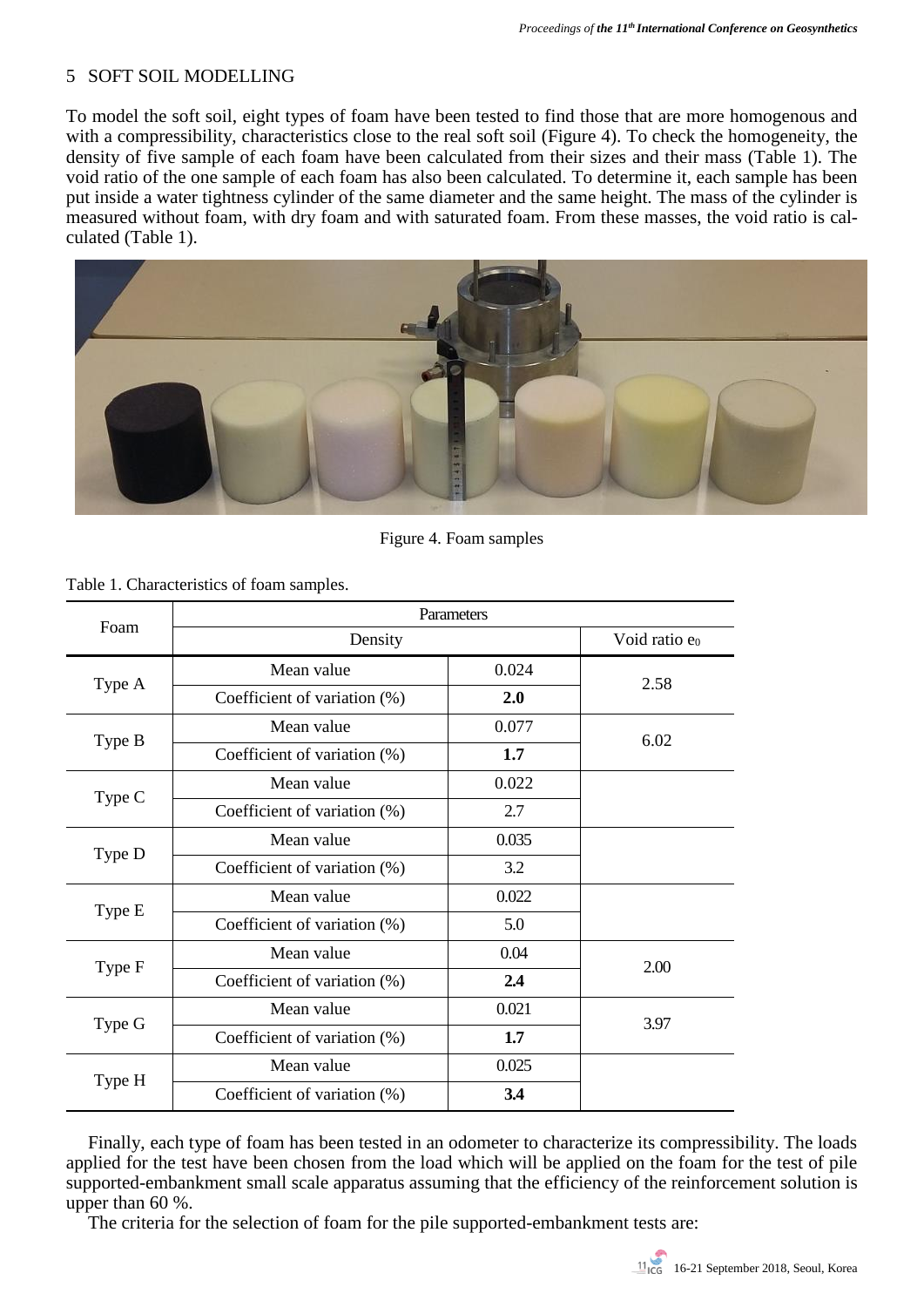# 5 SOFT SOIL MODELLING

To model the soft soil, eight types of foam have been tested to find those that are more homogenous and with a compressibility, characteristics close to the real soft soil (Figure 4). To check the homogeneity, the density of five sample of each foam have been calculated from their sizes and their mass (Table 1). The void ratio of the one sample of each foam has also been calculated. To determine it, each sample has been put inside a water tightness cylinder of the same diameter and the same height. The mass of the cylinder is measured without foam, with dry foam and with saturated foam. From these masses, the void ratio is calculated (Table 1).



Figure 4. Foam samples

| Foam   | Parameters                   |       |                  |
|--------|------------------------------|-------|------------------|
|        | Density                      |       | Void ratio $e_0$ |
| Type A | Mean value                   | 0.024 | 2.58             |
|        | Coefficient of variation (%) | 2.0   |                  |
| Type B | Mean value                   | 0.077 | 6.02             |
|        | Coefficient of variation (%) | 1.7   |                  |
| Type C | Mean value                   | 0.022 |                  |
|        | Coefficient of variation (%) | 2.7   |                  |
| Type D | Mean value                   | 0.035 |                  |
|        | Coefficient of variation (%) | 3.2   |                  |
| Type E | Mean value                   | 0.022 |                  |
|        | Coefficient of variation (%) | 5.0   |                  |
| Type F | Mean value                   | 0.04  | 2.00             |
|        | Coefficient of variation (%) | 2.4   |                  |
| Type G | Mean value                   | 0.021 | 3.97             |
|        | Coefficient of variation (%) | 1.7   |                  |
| Type H | Mean value                   | 0.025 |                  |
|        | Coefficient of variation (%) | 3.4   |                  |

Table 1. Characteristics of foam samples.

Finally, each type of foam has been tested in an odometer to characterize its compressibility. The loads applied for the test have been chosen from the load which will be applied on the foam for the test of pile supported-embankment small scale apparatus assuming that the efficiency of the reinforcement solution is upper than 60 %.

The criteria for the selection of foam for the pile supported-embankment tests are: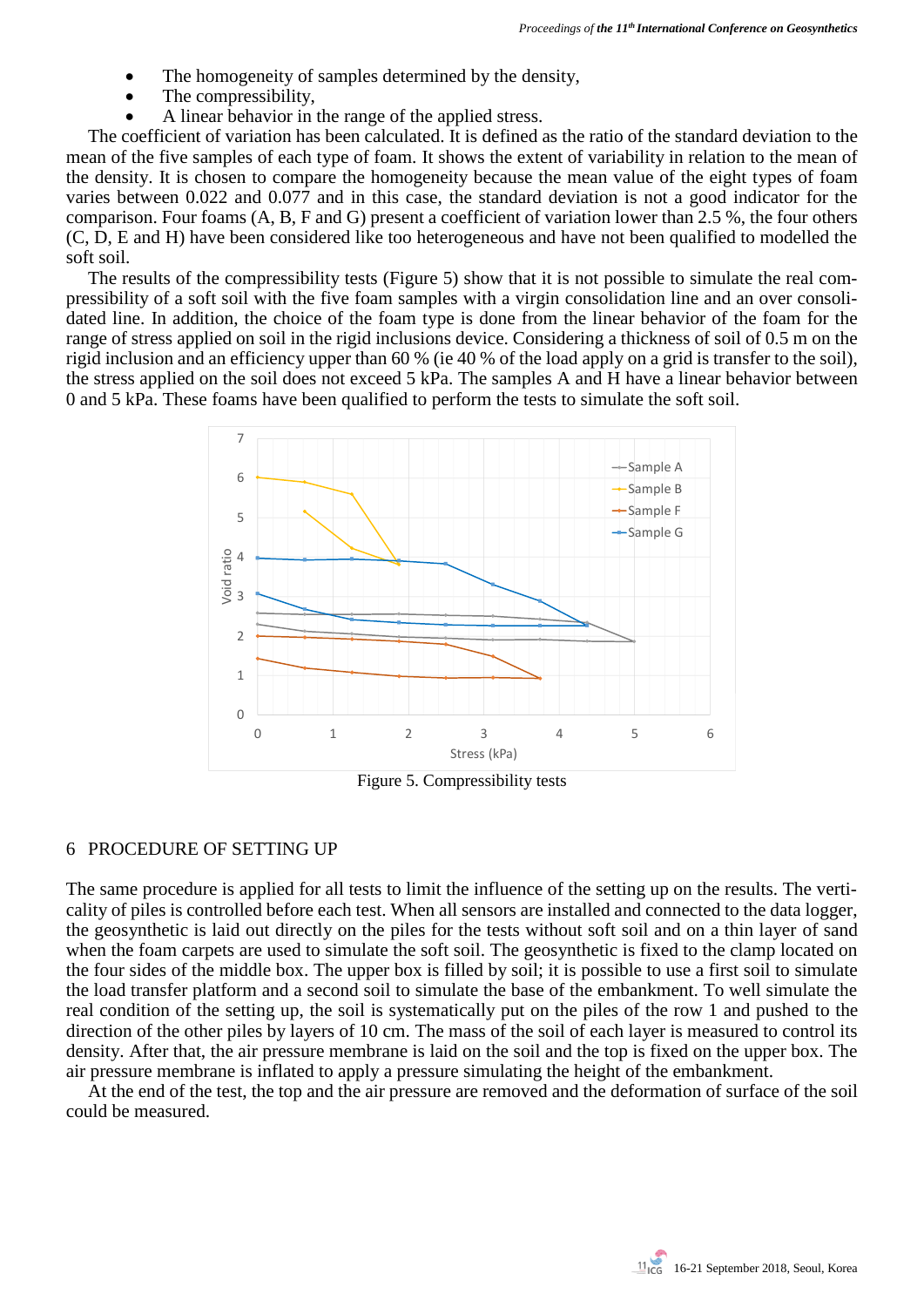- The homogeneity of samples determined by the density,
- The compressibility.
- A linear behavior in the range of the applied stress.

The coefficient of variation has been calculated. It is defined as the ratio of the standard deviation to the mean of the five samples of each type of foam. It shows the extent of variability in relation to the mean of the density. It is chosen to compare the homogeneity because the mean value of the eight types of foam varies between 0.022 and 0.077 and in this case, the standard deviation is not a good indicator for the comparison. Four foams (A, B, F and G) present a coefficient of variation lower than 2.5 %, the four others (C, D, E and H) have been considered like too heterogeneous and have not been qualified to modelled the soft soil.

The results of the compressibility tests (Figure 5) show that it is not possible to simulate the real compressibility of a soft soil with the five foam samples with a virgin consolidation line and an over consolidated line. In addition, the choice of the foam type is done from the linear behavior of the foam for the range of stress applied on soil in the rigid inclusions device. Considering a thickness of soil of 0.5 m on the rigid inclusion and an efficiency upper than 60 % (ie 40 % of the load apply on a grid is transfer to the soil), the stress applied on the soil does not exceed 5 kPa. The samples A and H have a linear behavior between 0 and 5 kPa. These foams have been qualified to perform the tests to simulate the soft soil.



Figure 5. Compressibility tests

## 6 PROCEDURE OF SETTING UP

The same procedure is applied for all tests to limit the influence of the setting up on the results. The verticality of piles is controlled before each test. When all sensors are installed and connected to the data logger, the geosynthetic is laid out directly on the piles for the tests without soft soil and on a thin layer of sand when the foam carpets are used to simulate the soft soil. The geosynthetic is fixed to the clamp located on the four sides of the middle box. The upper box is filled by soil; it is possible to use a first soil to simulate the load transfer platform and a second soil to simulate the base of the embankment. To well simulate the real condition of the setting up, the soil is systematically put on the piles of the row 1 and pushed to the direction of the other piles by layers of 10 cm. The mass of the soil of each layer is measured to control its density. After that, the air pressure membrane is laid on the soil and the top is fixed on the upper box. The air pressure membrane is inflated to apply a pressure simulating the height of the embankment.

At the end of the test, the top and the air pressure are removed and the deformation of surface of the soil could be measured.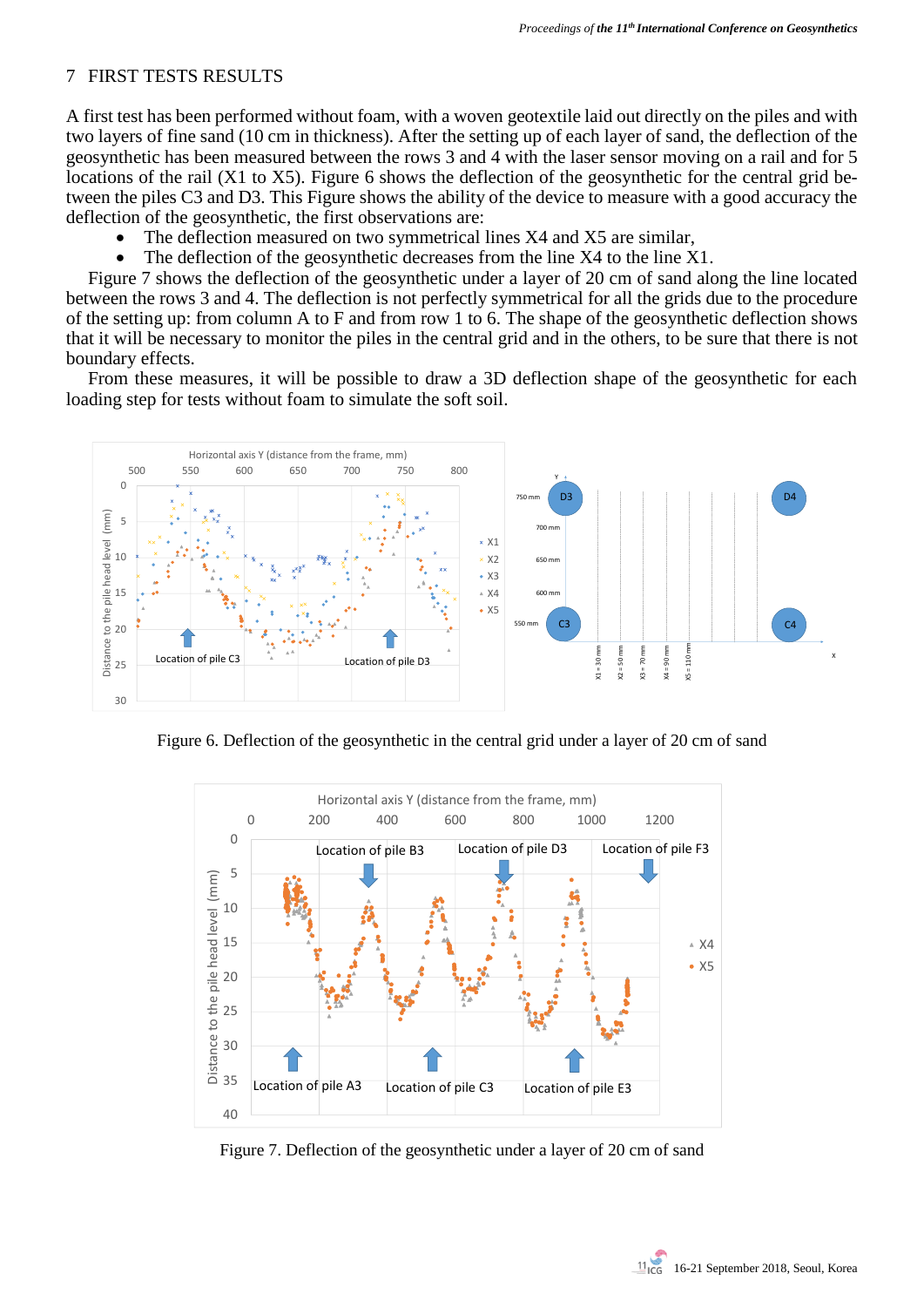### 7 FIRST TESTS RESULTS

A first test has been performed without foam, with a woven geotextile laid out directly on the piles and with two layers of fine sand (10 cm in thickness). After the setting up of each layer of sand, the deflection of the geosynthetic has been measured between the rows 3 and 4 with the laser sensor moving on a rail and for 5 locations of the rail (X1 to X5). Figure 6 shows the deflection of the geosynthetic for the central grid between the piles C3 and D3. This Figure shows the ability of the device to measure with a good accuracy the deflection of the geosynthetic, the first observations are:

- The deflection measured on two symmetrical lines X4 and X5 are similar,
- The deflection of the geosynthetic decreases from the line  $X4$  to the line  $X1$ .

Figure 7 shows the deflection of the geosynthetic under a layer of 20 cm of sand along the line located between the rows 3 and 4. The deflection is not perfectly symmetrical for all the grids due to the procedure of the setting up: from column A to F and from row 1 to 6. The shape of the geosynthetic deflection shows that it will be necessary to monitor the piles in the central grid and in the others, to be sure that there is not boundary effects.

From these measures, it will be possible to draw a 3D deflection shape of the geosynthetic for each loading step for tests without foam to simulate the soft soil.



Figure 6. Deflection of the geosynthetic in the central grid under a layer of 20 cm of sand



Figure 7. Deflection of the geosynthetic under a layer of 20 cm of sand